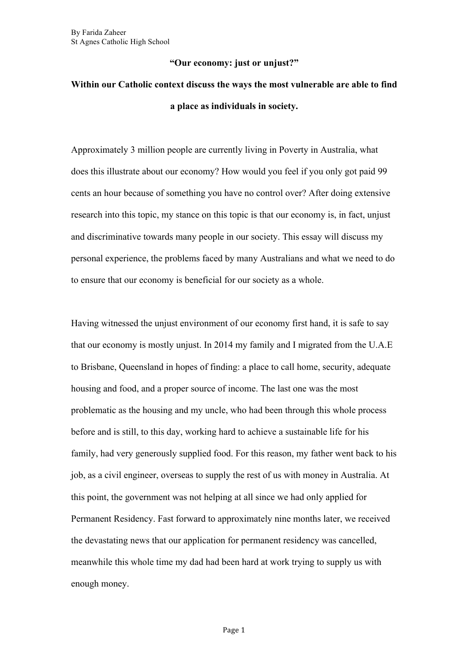## **"Our economy: just or unjust?"**

## **Within our Catholic context discuss the ways the most vulnerable are able to find a place as individuals in society.**

Approximately 3 million people are currently living in Poverty in Australia, what does this illustrate about our economy? How would you feel if you only got paid 99 cents an hour because of something you have no control over? After doing extensive research into this topic, my stance on this topic is that our economy is, in fact, unjust and discriminative towards many people in our society. This essay will discuss my personal experience, the problems faced by many Australians and what we need to do to ensure that our economy is beneficial for our society as a whole.

Having witnessed the unjust environment of our economy first hand, it is safe to say that our economy is mostly unjust. In 2014 my family and I migrated from the U.A.E to Brisbane, Queensland in hopes of finding: a place to call home, security, adequate housing and food, and a proper source of income. The last one was the most problematic as the housing and my uncle, who had been through this whole process before and is still, to this day, working hard to achieve a sustainable life for his family, had very generously supplied food. For this reason, my father went back to his job, as a civil engineer, overseas to supply the rest of us with money in Australia. At this point, the government was not helping at all since we had only applied for Permanent Residency. Fast forward to approximately nine months later, we received the devastating news that our application for permanent residency was cancelled, meanwhile this whole time my dad had been hard at work trying to supply us with enough money.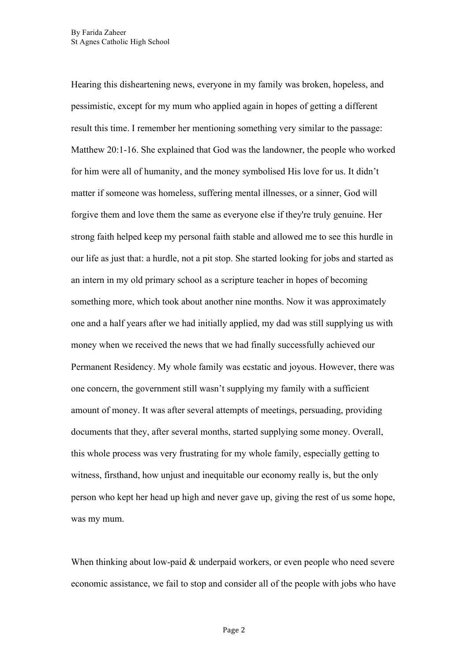Hearing this disheartening news, everyone in my family was broken, hopeless, and pessimistic, except for my mum who applied again in hopes of getting a different result this time. I remember her mentioning something very similar to the passage: Matthew 20:1-16. She explained that God was the landowner, the people who worked for him were all of humanity, and the money symbolised His love for us. It didn't matter if someone was homeless, suffering mental illnesses, or a sinner, God will forgive them and love them the same as everyone else if they're truly genuine. Her strong faith helped keep my personal faith stable and allowed me to see this hurdle in our life as just that: a hurdle, not a pit stop. She started looking for jobs and started as an intern in my old primary school as a scripture teacher in hopes of becoming something more, which took about another nine months. Now it was approximately one and a half years after we had initially applied, my dad was still supplying us with money when we received the news that we had finally successfully achieved our Permanent Residency. My whole family was ecstatic and joyous. However, there was one concern, the government still wasn't supplying my family with a sufficient amount of money. It was after several attempts of meetings, persuading, providing documents that they, after several months, started supplying some money. Overall, this whole process was very frustrating for my whole family, especially getting to witness, firsthand, how unjust and inequitable our economy really is, but the only person who kept her head up high and never gave up, giving the rest of us some hope, was my mum.

When thinking about low-paid & underpaid workers, or even people who need severe economic assistance, we fail to stop and consider all of the people with jobs who have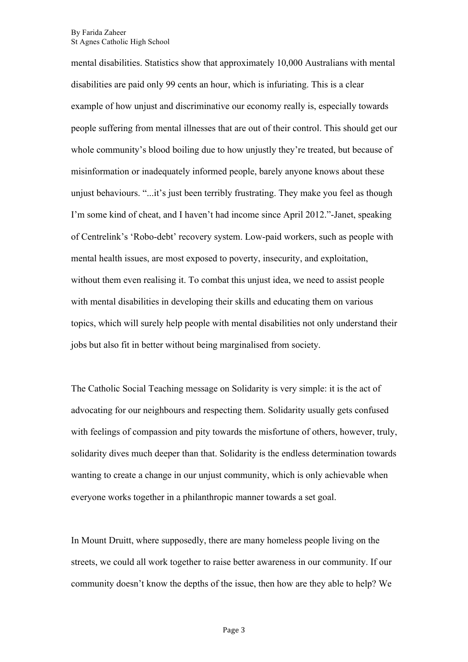mental disabilities. Statistics show that approximately 10,000 Australians with mental disabilities are paid only 99 cents an hour, which is infuriating. This is a clear example of how unjust and discriminative our economy really is, especially towards people suffering from mental illnesses that are out of their control. This should get our whole community's blood boiling due to how unjustly they're treated, but because of misinformation or inadequately informed people, barely anyone knows about these unjust behaviours. "...it's just been terribly frustrating. They make you feel as though I'm some kind of cheat, and I haven't had income since April 2012."-Janet, speaking of Centrelink's 'Robo-debt' recovery system. Low-paid workers, such as people with mental health issues, are most exposed to poverty, insecurity, and exploitation, without them even realising it. To combat this unjust idea, we need to assist people with mental disabilities in developing their skills and educating them on various topics, which will surely help people with mental disabilities not only understand their jobs but also fit in better without being marginalised from society.

The Catholic Social Teaching message on Solidarity is very simple: it is the act of advocating for our neighbours and respecting them. Solidarity usually gets confused with feelings of compassion and pity towards the misfortune of others, however, truly, solidarity dives much deeper than that. Solidarity is the endless determination towards wanting to create a change in our unjust community, which is only achievable when everyone works together in a philanthropic manner towards a set goal.

In Mount Druitt, where supposedly, there are many homeless people living on the streets, we could all work together to raise better awareness in our community. If our community doesn't know the depths of the issue, then how are they able to help? We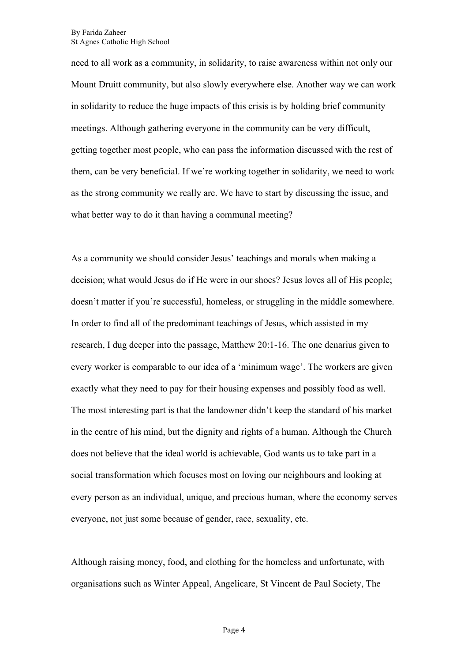need to all work as a community, in solidarity, to raise awareness within not only our Mount Druitt community, but also slowly everywhere else. Another way we can work in solidarity to reduce the huge impacts of this crisis is by holding brief community meetings. Although gathering everyone in the community can be very difficult, getting together most people, who can pass the information discussed with the rest of them, can be very beneficial. If we're working together in solidarity, we need to work as the strong community we really are. We have to start by discussing the issue, and what better way to do it than having a communal meeting?

As a community we should consider Jesus' teachings and morals when making a decision; what would Jesus do if He were in our shoes? Jesus loves all of His people; doesn't matter if you're successful, homeless, or struggling in the middle somewhere. In order to find all of the predominant teachings of Jesus, which assisted in my research, I dug deeper into the passage, Matthew 20:1-16. The one denarius given to every worker is comparable to our idea of a 'minimum wage'. The workers are given exactly what they need to pay for their housing expenses and possibly food as well. The most interesting part is that the landowner didn't keep the standard of his market in the centre of his mind, but the dignity and rights of a human. Although the Church does not believe that the ideal world is achievable, God wants us to take part in a social transformation which focuses most on loving our neighbours and looking at every person as an individual, unique, and precious human, where the economy serves everyone, not just some because of gender, race, sexuality, etc.

Although raising money, food, and clothing for the homeless and unfortunate, with organisations such as Winter Appeal, Angelicare, St Vincent de Paul Society, The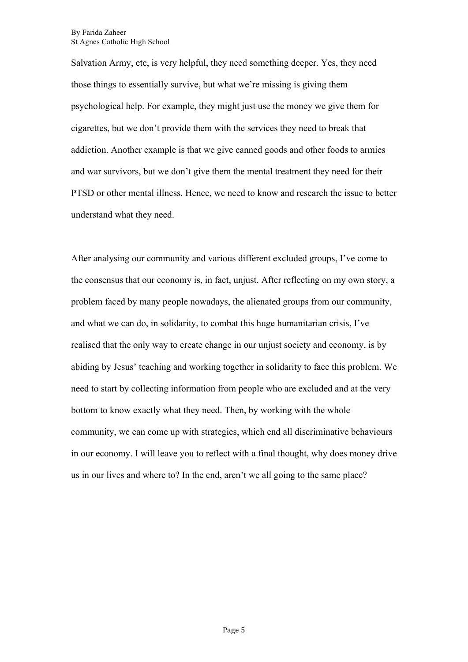Salvation Army, etc, is very helpful, they need something deeper. Yes, they need those things to essentially survive, but what we're missing is giving them psychological help. For example, they might just use the money we give them for cigarettes, but we don't provide them with the services they need to break that addiction. Another example is that we give canned goods and other foods to armies and war survivors, but we don't give them the mental treatment they need for their PTSD or other mental illness. Hence, we need to know and research the issue to better understand what they need.

After analysing our community and various different excluded groups, I've come to the consensus that our economy is, in fact, unjust. After reflecting on my own story, a problem faced by many people nowadays, the alienated groups from our community, and what we can do, in solidarity, to combat this huge humanitarian crisis, I've realised that the only way to create change in our unjust society and economy, is by abiding by Jesus' teaching and working together in solidarity to face this problem. We need to start by collecting information from people who are excluded and at the very bottom to know exactly what they need. Then, by working with the whole community, we can come up with strategies, which end all discriminative behaviours in our economy. I will leave you to reflect with a final thought, why does money drive us in our lives and where to? In the end, aren't we all going to the same place?